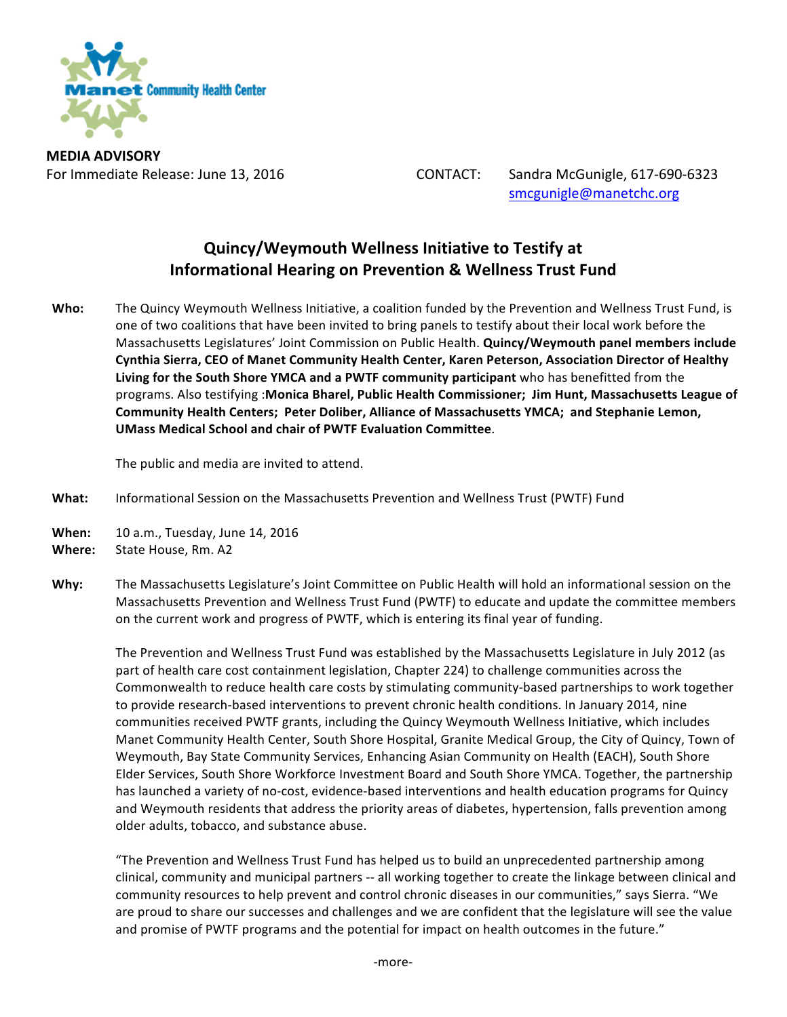

**MEDIA ADVISORY**

For Immediate Release: June 13, 2016 CONTACT: Sandra McGunigle, 617-690-6323 smcgunigle@manetchc.org

## **Quincy/Weymouth Wellness Initiative to Testify at Informational Hearing on Prevention & Wellness Trust Fund**

Who: The Quincy Weymouth Wellness Initiative, a coalition funded by the Prevention and Wellness Trust Fund, is one of two coalitions that have been invited to bring panels to testify about their local work before the Massachusetts Legislatures' Joint Commission on Public Health. **Quincy/Weymouth panel members include Cynthia Sierra, CEO of Manet Community Health Center, Karen Peterson, Association Director of Healthy** Living for the South Shore YMCA and a PWTF community participant who has benefitted from the programs. Also testifying :Monica Bharel, Public Health Commissioner; Jim Hunt, Massachusetts League of Community Health Centers; Peter Doliber, Alliance of Massachusetts YMCA; and Stephanie Lemon, **UMass Medical School and chair of PWTF Evaluation Committee.** 

The public and media are invited to attend.

- What: Informational Session on the Massachusetts Prevention and Wellness Trust (PWTF) Fund
- **When:** 10 a.m., Tuesday, June 14, 2016
- **Where:** State House, Rm. A2
- Why: The Massachusetts Legislature's Joint Committee on Public Health will hold an informational session on the Massachusetts Prevention and Wellness Trust Fund (PWTF) to educate and update the committee members on the current work and progress of PWTF, which is entering its final year of funding.

The Prevention and Wellness Trust Fund was established by the Massachusetts Legislature in July 2012 (as part of health care cost containment legislation, Chapter 224) to challenge communities across the Commonwealth to reduce health care costs by stimulating community-based partnerships to work together to provide research-based interventions to prevent chronic health conditions. In January 2014, nine communities received PWTF grants, including the Quincy Weymouth Wellness Initiative, which includes Manet Community Health Center, South Shore Hospital, Granite Medical Group, the City of Quincy, Town of Weymouth, Bay State Community Services, Enhancing Asian Community on Health (EACH), South Shore Elder Services, South Shore Workforce Investment Board and South Shore YMCA. Together, the partnership has launched a variety of no-cost, evidence-based interventions and health education programs for Quincy and Weymouth residents that address the priority areas of diabetes, hypertension, falls prevention among older adults, tobacco, and substance abuse.

"The Prevention and Wellness Trust Fund has helped us to build an unprecedented partnership among clinical, community and municipal partners -- all working together to create the linkage between clinical and community resources to help prevent and control chronic diseases in our communities," says Sierra. "We are proud to share our successes and challenges and we are confident that the legislature will see the value and promise of PWTF programs and the potential for impact on health outcomes in the future."